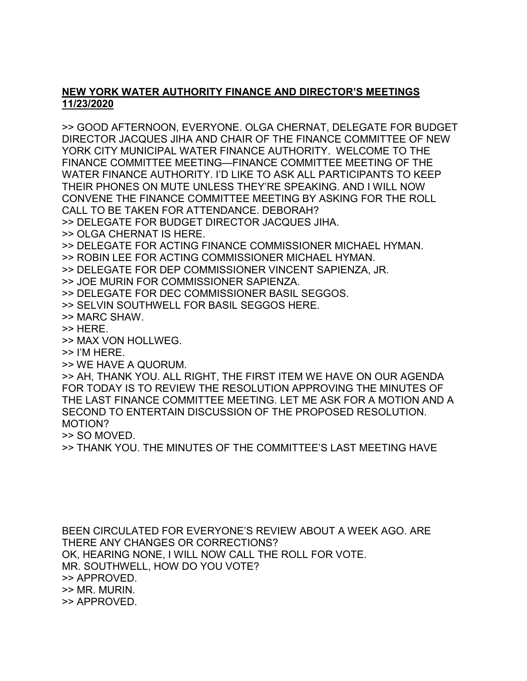## **NEW YORK WATER AUTHORITY FINANCE AND DIRECTOR'S MEETINGS 11/23/2020**

>> GOOD AFTERNOON, EVERYONE. OLGA CHERNAT, DELEGATE FOR BUDGET DIRECTOR JACQUES JIHA AND CHAIR OF THE FINANCE COMMITTEE OF NEW YORK CITY MUNICIPAL WATER FINANCE AUTHORITY. WELCOME TO THE FINANCE COMMITTEE MEETING—FINANCE COMMITTEE MEETING OF THE WATER FINANCE AUTHORITY. I'D LIKE TO ASK ALL PARTICIPANTS TO KEEP THEIR PHONES ON MUTE UNLESS THEY'RE SPEAKING. AND I WILL NOW CONVENE THE FINANCE COMMITTEE MEETING BY ASKING FOR THE ROLL CALL TO BE TAKEN FOR ATTENDANCE. DEBORAH?

>> DELEGATE FOR BUDGET DIRECTOR JACQUES JIHA.

- >> OLGA CHERNAT IS HERE.
- >> DELEGATE FOR ACTING FINANCE COMMISSIONER MICHAEL HYMAN.
- >> ROBIN LEE FOR ACTING COMMISSIONER MICHAEL HYMAN.
- >> DELEGATE FOR DEP COMMISSIONER VINCENT SAPIENZA, JR.
- >> JOE MURIN FOR COMMISSIONER SAPIENZA.
- >> DELEGATE FOR DEC COMMISSIONER BASIL SEGGOS.
- >> SELVIN SOUTHWELL FOR BASIL SEGGOS HERE.
- >> MARC SHAW.
- >> HERE.
- >> MAX VON HOLLWEG.
- >> I'M HERE.
- >> WE HAVE A QUORUM.

>> AH, THANK YOU. ALL RIGHT, THE FIRST ITEM WE HAVE ON OUR AGENDA FOR TODAY IS TO REVIEW THE RESOLUTION APPROVING THE MINUTES OF THE LAST FINANCE COMMITTEE MEETING. LET ME ASK FOR A MOTION AND A SECOND TO ENTERTAIN DISCUSSION OF THE PROPOSED RESOLUTION. MOTION?

>> SO MOVED.

>> THANK YOU. THE MINUTES OF THE COMMITTEE'S LAST MEETING HAVE

BEEN CIRCULATED FOR EVERYONE'S REVIEW ABOUT A WEEK AGO. ARE THERE ANY CHANGES OR CORRECTIONS? OK, HEARING NONE, I WILL NOW CALL THE ROLL FOR VOTE. MR. SOUTHWELL, HOW DO YOU VOTE? >> APPROVED. >> MR. MURIN. >> APPROVED.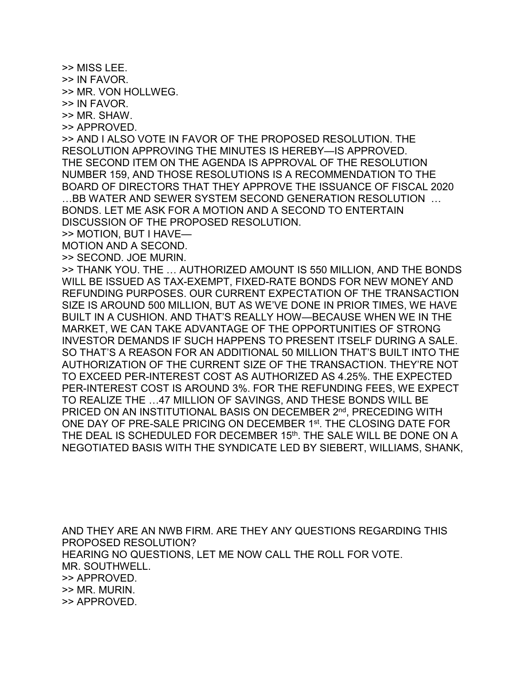>> MISS LEE.

>> IN FAVOR.

>> MR. VON HOLLWEG.

>> IN FAVOR.

>> MR. SHAW.

>> APPROVED.

>> AND I ALSO VOTE IN FAVOR OF THE PROPOSED RESOLUTION. THE RESOLUTION APPROVING THE MINUTES IS HEREBY—IS APPROVED. THE SECOND ITEM ON THE AGENDA IS APPROVAL OF THE RESOLUTION NUMBER 159, AND THOSE RESOLUTIONS IS A RECOMMENDATION TO THE BOARD OF DIRECTORS THAT THEY APPROVE THE ISSUANCE OF FISCAL 2020 …BB WATER AND SEWER SYSTEM SECOND GENERATION RESOLUTION … BONDS. LET ME ASK FOR A MOTION AND A SECOND TO ENTERTAIN DISCUSSION OF THE PROPOSED RESOLUTION.

>> MOTION, BUT I HAVE—

MOTION AND A SECOND.

>> SECOND. JOE MURIN.

>> THANK YOU. THE … AUTHORIZED AMOUNT IS 550 MILLION, AND THE BONDS WILL BE ISSUED AS TAX-EXEMPT, FIXED-RATE BONDS FOR NEW MONEY AND REFUNDING PURPOSES. OUR CURRENT EXPECTATION OF THE TRANSACTION SIZE IS AROUND 500 MILLION, BUT AS WE'VE DONE IN PRIOR TIMES, WE HAVE BUILT IN A CUSHION. AND THAT'S REALLY HOW—BECAUSE WHEN WE IN THE MARKET, WE CAN TAKE ADVANTAGE OF THE OPPORTUNITIES OF STRONG INVESTOR DEMANDS IF SUCH HAPPENS TO PRESENT ITSELF DURING A SALE. SO THAT'S A REASON FOR AN ADDITIONAL 50 MILLION THAT'S BUILT INTO THE AUTHORIZATION OF THE CURRENT SIZE OF THE TRANSACTION. THEY'RE NOT TO EXCEED PER-INTEREST COST AS AUTHORIZED AS 4.25%. THE EXPECTED PER-INTEREST COST IS AROUND 3%. FOR THE REFUNDING FEES, WE EXPECT TO REALIZE THE …47 MILLION OF SAVINGS, AND THESE BONDS WILL BE PRICED ON AN INSTITUTIONAL BASIS ON DECEMBER 2<sup>nd</sup>, PRECEDING WITH ONE DAY OF PRE-SALE PRICING ON DECEMBER 1st. THE CLOSING DATE FOR THE DEAL IS SCHEDULED FOR DECEMBER 15<sup>th</sup>. THE SALE WILL BE DONE ON A NEGOTIATED BASIS WITH THE SYNDICATE LED BY SIEBERT, WILLIAMS, SHANK,

AND THEY ARE AN NWB FIRM. ARE THEY ANY QUESTIONS REGARDING THIS PROPOSED RESOLUTION? HEARING NO QUESTIONS, LET ME NOW CALL THE ROLL FOR VOTE. MR. SOUTHWELL. >> APPROVED. >> MR. MURIN. >> APPROVED.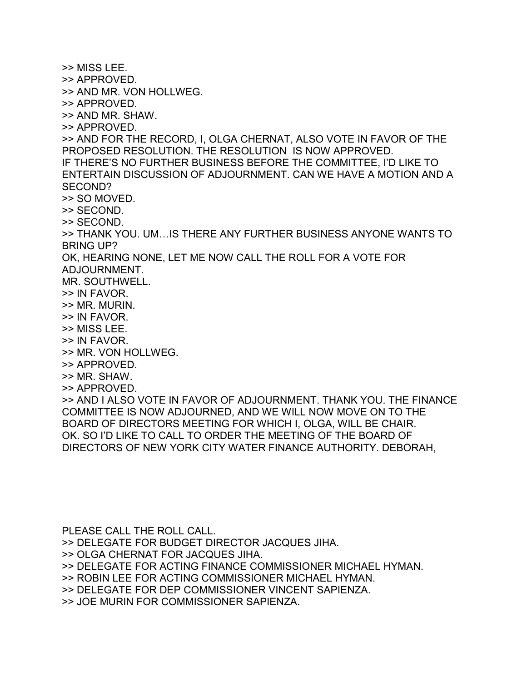>> MISS LEE. >> APPROVED. >> AND MR. VON HOLLWEG. >> APPROVED. >> AND MR. SHAW. >> APPROVED. >> AND FOR THE RECORD, I, OLGA CHERNAT, ALSO VOTE IN FAVOR OF THE PROPOSED RESOLUTION. THE RESOLUTION IS NOW APPROVED. IF THERE'S NO FURTHER BUSINESS BEFORE THE COMMITTEE, I'D LIKE TO ENTERTAIN DISCUSSION OF ADJOURNMENT. CAN WE HAVE A MOTION AND A SECOND? >> SO MOVED. >> SECOND. >> SECOND. >> THANK YOU. UM…IS THERE ANY FURTHER BUSINESS ANYONE WANTS TO BRING UP? OK, HEARING NONE, LET ME NOW CALL THE ROLL FOR A VOTE FOR ADJOURNMENT. MR. SOUTHWELL. >> IN FAVOR. >> MR. MURIN. >> IN FAVOR. >> MISS LEE. >> IN FAVOR. >> MR. VON HOLLWEG. >> APPROVED. >> MR. SHAW. >> APPROVED. >> AND I ALSO VOTE IN FAVOR OF ADJOURNMENT. THANK YOU. THE FINANCE COMMITTEE IS NOW ADJOURNED, AND WE WILL NOW MOVE ON TO THE BOARD OF DIRECTORS MEETING FOR WHICH I, OLGA, WILL BE CHAIR. OK. SO I'D LIKE TO CALL TO ORDER THE MEETING OF THE BOARD OF DIRECTORS OF NEW YORK CITY WATER FINANCE AUTHORITY. DEBORAH,

PLEASE CALL THE ROLL CALL. >> DELEGATE FOR BUDGET DIRECTOR JACQUES JIHA. >> OLGA CHERNAT FOR JACQUES JIHA. >> DELEGATE FOR ACTING FINANCE COMMISSIONER MICHAEL HYMAN. >> ROBIN LEE FOR ACTING COMMISSIONER MICHAEL HYMAN. >> DELEGATE FOR DEP COMMISSIONER VINCENT SAPIENZA. >> JOE MURIN FOR COMMISSIONER SAPIENZA.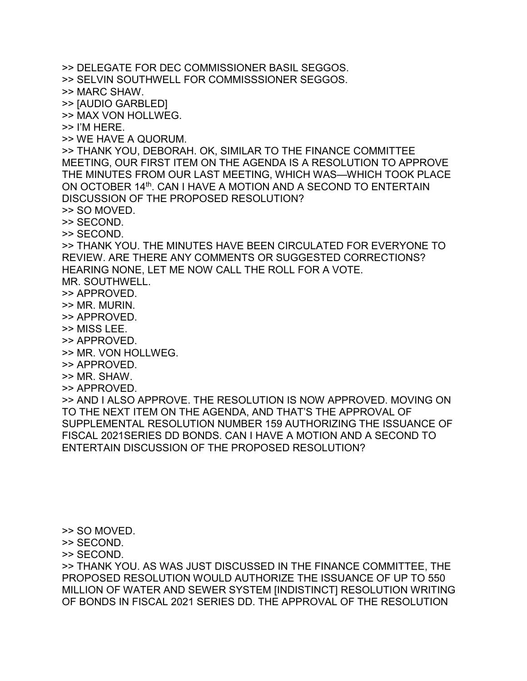>> DELEGATE FOR DEC COMMISSIONER BASIL SEGGOS. >> SELVIN SOUTHWELL FOR COMMISSSIONER SEGGOS. >> MARC SHAW. >> [AUDIO GARBLED] >> MAX VON HOLLWEG. >> I'M HERE. >> WE HAVE A QUORUM. >> THANK YOU, DEBORAH. OK, SIMILAR TO THE FINANCE COMMITTEE MEETING, OUR FIRST ITEM ON THE AGENDA IS A RESOLUTION TO APPROVE THE MINUTES FROM OUR LAST MEETING, WHICH WAS—WHICH TOOK PLACE ON OCTOBER 14th. CAN I HAVE A MOTION AND A SECOND TO ENTERTAIN DISCUSSION OF THE PROPOSED RESOLUTION? >> SO MOVED. >> SECOND. >> SECOND. >> THANK YOU. THE MINUTES HAVE BEEN CIRCULATED FOR EVERYONE TO REVIEW. ARE THERE ANY COMMENTS OR SUGGESTED CORRECTIONS? HEARING NONE, LET ME NOW CALL THE ROLL FOR A VOTE. MR. SOUTHWELL. >> APPROVED. >> MR. MURIN. >> APPROVED. >> MISS LEE. >> APPROVED. >> MR. VON HOLLWEG. >> APPROVED. >> MR. SHAW. >> APPROVED. >> AND I ALSO APPROVE. THE RESOLUTION IS NOW APPROVED. MOVING ON TO THE NEXT ITEM ON THE AGENDA, AND THAT'S THE APPROVAL OF SUPPLEMENTAL RESOLUTION NUMBER 159 AUTHORIZING THE ISSUANCE OF FISCAL 2021SERIES DD BONDS. CAN I HAVE A MOTION AND A SECOND TO ENTERTAIN DISCUSSION OF THE PROPOSED RESOLUTION?

>> SO MOVED.

>> SECOND.

>> SECOND.

>> THANK YOU. AS WAS JUST DISCUSSED IN THE FINANCE COMMITTEE, THE PROPOSED RESOLUTION WOULD AUTHORIZE THE ISSUANCE OF UP TO 550 MILLION OF WATER AND SEWER SYSTEM [INDISTINCT] RESOLUTION WRITING OF BONDS IN FISCAL 2021 SERIES DD. THE APPROVAL OF THE RESOLUTION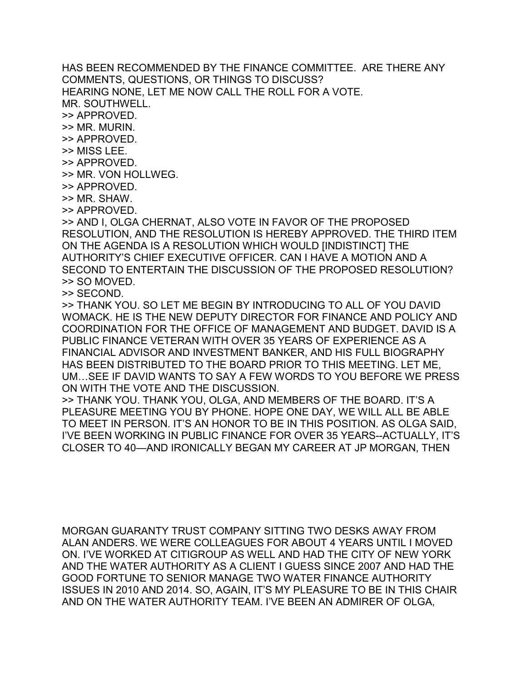HAS BEEN RECOMMENDED BY THE FINANCE COMMITTEE. ARE THERE ANY COMMENTS, QUESTIONS, OR THINGS TO DISCUSS? HEARING NONE, LET ME NOW CALL THE ROLL FOR A VOTE. MR. SOUTHWELL. >> APPROVED.

>> MR. MURIN.

>> APPROVED.

- >> MISS LEE.
- >> APPROVED.
- >> MR. VON HOLLWEG.
- >> APPROVED.
- >> MR. SHAW.
- >> APPROVED.

>> AND I, OLGA CHERNAT, ALSO VOTE IN FAVOR OF THE PROPOSED RESOLUTION, AND THE RESOLUTION IS HEREBY APPROVED. THE THIRD ITEM ON THE AGENDA IS A RESOLUTION WHICH WOULD [INDISTINCT] THE AUTHORITY'S CHIEF EXECUTIVE OFFICER. CAN I HAVE A MOTION AND A SECOND TO ENTERTAIN THE DISCUSSION OF THE PROPOSED RESOLUTION? >> SO MOVED.

>> SECOND.

>> THANK YOU. SO LET ME BEGIN BY INTRODUCING TO ALL OF YOU DAVID WOMACK. HE IS THE NEW DEPUTY DIRECTOR FOR FINANCE AND POLICY AND COORDINATION FOR THE OFFICE OF MANAGEMENT AND BUDGET. DAVID IS A PUBLIC FINANCE VETERAN WITH OVER 35 YEARS OF EXPERIENCE AS A FINANCIAL ADVISOR AND INVESTMENT BANKER, AND HIS FULL BIOGRAPHY HAS BEEN DISTRIBUTED TO THE BOARD PRIOR TO THIS MEETING. LET ME, UM…SEE IF DAVID WANTS TO SAY A FEW WORDS TO YOU BEFORE WE PRESS ON WITH THE VOTE AND THE DISCUSSION.

>> THANK YOU. THANK YOU, OLGA, AND MEMBERS OF THE BOARD. IT'S A PLEASURE MEETING YOU BY PHONE. HOPE ONE DAY, WE WILL ALL BE ABLE TO MEET IN PERSON. IT'S AN HONOR TO BE IN THIS POSITION. AS OLGA SAID, I'VE BEEN WORKING IN PUBLIC FINANCE FOR OVER 35 YEARS--ACTUALLY, IT'S CLOSER TO 40—AND IRONICALLY BEGAN MY CAREER AT JP MORGAN, THEN

MORGAN GUARANTY TRUST COMPANY SITTING TWO DESKS AWAY FROM ALAN ANDERS. WE WERE COLLEAGUES FOR ABOUT 4 YEARS UNTIL I MOVED ON. I'VE WORKED AT CITIGROUP AS WELL AND HAD THE CITY OF NEW YORK AND THE WATER AUTHORITY AS A CLIENT I GUESS SINCE 2007 AND HAD THE GOOD FORTUNE TO SENIOR MANAGE TWO WATER FINANCE AUTHORITY ISSUES IN 2010 AND 2014. SO, AGAIN, IT'S MY PLEASURE TO BE IN THIS CHAIR AND ON THE WATER AUTHORITY TEAM. I'VE BEEN AN ADMIRER OF OLGA,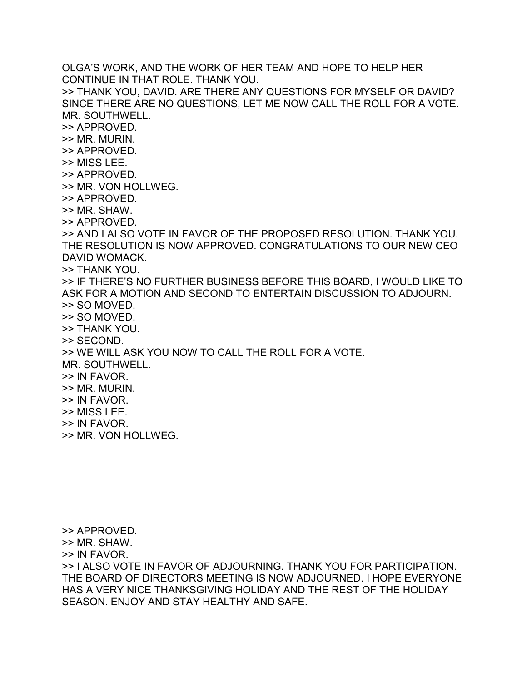OLGA'S WORK, AND THE WORK OF HER TEAM AND HOPE TO HELP HER CONTINUE IN THAT ROLE. THANK YOU. >> THANK YOU, DAVID. ARE THERE ANY QUESTIONS FOR MYSELF OR DAVID? SINCE THERE ARE NO QUESTIONS, LET ME NOW CALL THE ROLL FOR A VOTE. MR. SOUTHWELL. >> APPROVED. >> MR. MURIN. >> APPROVED. >> MISS LEE. >> APPROVED. >> MR. VON HOLLWEG. >> APPROVED. >> MR. SHAW. >> APPROVED. >> AND I ALSO VOTE IN FAVOR OF THE PROPOSED RESOLUTION. THANK YOU. THE RESOLUTION IS NOW APPROVED. CONGRATULATIONS TO OUR NEW CEO DAVID WOMACK. >> THANK YOU. >> IF THERE'S NO FURTHER BUSINESS BEFORE THIS BOARD, I WOULD LIKE TO ASK FOR A MOTION AND SECOND TO ENTERTAIN DISCUSSION TO ADJOURN. >> SO MOVED. >> SO MOVED. >> THANK YOU. >> SECOND. >> WE WILL ASK YOU NOW TO CALL THE ROLL FOR A VOTE. MR. SOUTHWELL. >> IN FAVOR. >> MR. MURIN. >> IN FAVOR. >> MISS LEE. >> IN FAVOR. >> MR. VON HOLLWEG.

- >> APPROVED.
- >> MR. SHAW.
- >> IN FAVOR.

>> I ALSO VOTE IN FAVOR OF ADJOURNING. THANK YOU FOR PARTICIPATION. THE BOARD OF DIRECTORS MEETING IS NOW ADJOURNED. I HOPE EVERYONE HAS A VERY NICE THANKSGIVING HOLIDAY AND THE REST OF THE HOLIDAY SEASON. ENJOY AND STAY HEALTHY AND SAFE.